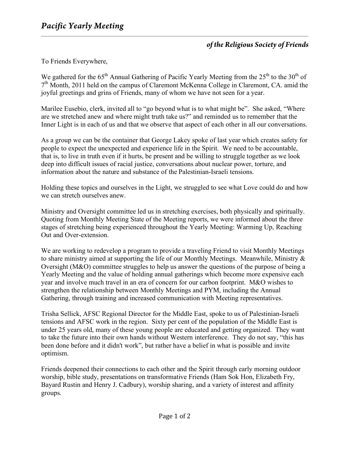## *of the Religious Society of Friends*

To Friends Everywhere,

We gathered for the  $65<sup>th</sup>$  Annual Gathering of Pacific Yearly Meeting from the  $25<sup>th</sup>$  to the  $30<sup>th</sup>$  of  $7<sup>th</sup>$  Month, 2011 held on the campus of Claremont McKenna College in Claremont, CA. amid the joyful greetings and grins of Friends, many of whom we have not seen for a year.

Marilee Eusebio, clerk, invited all to "go beyond what is to what might be". She asked, "Where are we stretched anew and where might truth take us?" and reminded us to remember that the Inner Light is in each of us and that we observe that aspect of each other in all our conversations.

As a group we can be the container that George Lakey spoke of last year which creates safety for people to expect the unexpected and experience life in the Spirit. We need to be accountable, that is, to live in truth even if it hurts, be present and be willing to struggle together as we look deep into difficult issues of racial justice, conversations about nuclear power, torture, and information about the nature and substance of the Palestinian-Israeli tensions.

Holding these topics and ourselves in the Light, we struggled to see what Love could do and how we can stretch ourselves anew.

Ministry and Oversight committee led us in stretching exercises, both physically and spiritually. Quoting from Monthly Meeting State of the Meeting reports, we were informed about the three stages of stretching being experienced throughout the Yearly Meeting: Warming Up, Reaching Out and Over-extension.

We are working to redevelop a program to provide a traveling Friend to visit Monthly Meetings to share ministry aimed at supporting the life of our Monthly Meetings. Meanwhile, Ministry & Oversight (M&O) committee struggles to help us answer the questions of the purpose of being a Yearly Meeting and the value of holding annual gatherings which become more expensive each year and involve much travel in an era of concern for our carbon footprint. M&O wishes to strengthen the relationship between Monthly Meetings and PYM, including the Annual Gathering, through training and increased communication with Meeting representatives.

Trisha Sellick, AFSC Regional Director for the Middle East, spoke to us of Palestinian-Israeli tensions and AFSC work in the region. Sixty per cent of the population of the Middle East is under 25 years old, many of these young people are educated and getting organized. They want to take the future into their own hands without Western interference. They do not say, "this has been done before and it didn't work", but rather have a belief in what is possible and invite optimism.

Friends deepened their connections to each other and the Spirit through early morning outdoor worship, bible study, presentations on transformative Friends (Ham Sok Hon, Elizabeth Fry, Bayard Rustin and Henry J. Cadbury), worship sharing, and a variety of interest and affinity groups.